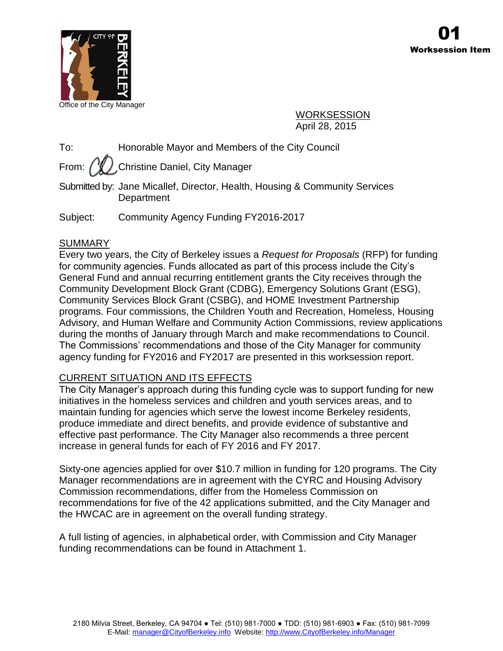

Office of the City Manager

WORKSESSION April 28, 2015

To: Honorable Mayor and Members of the City Council

From:  $\binom{n}{k}$ . Christine Daniel, City Manager

Submitted by: Jane Micallef, Director, Health, Housing & Community Services **Department** 

Subject: Community Agency Funding FY2016-2017

# SUMMARY

Every two years, the City of Berkeley issues a *Request for Proposals* (RFP) for funding for community agencies. Funds allocated as part of this process include the City's General Fund and annual recurring entitlement grants the City receives through the Community Development Block Grant (CDBG), Emergency Solutions Grant (ESG), Community Services Block Grant (CSBG), and HOME Investment Partnership programs. Four commissions, the Children Youth and Recreation, Homeless, Housing Advisory, and Human Welfare and Community Action Commissions, review applications during the months of January through March and make recommendations to Council. The Commissions' recommendations and those of the City Manager for community agency funding for FY2016 and FY2017 are presented in this worksession report.

# CURRENT SITUATION AND ITS EFFECTS

The City Manager's approach during this funding cycle was to support funding for new initiatives in the homeless services and children and youth services areas, and to maintain funding for agencies which serve the lowest income Berkeley residents, produce immediate and direct benefits, and provide evidence of substantive and effective past performance. The City Manager also recommends a three percent increase in general funds for each of FY 2016 and FY 2017.

Sixty-one agencies applied for over \$10.7 million in funding for 120 programs. The City Manager recommendations are in agreement with the CYRC and Housing Advisory Commission recommendations, differ from the Homeless Commission on recommendations for five of the 42 applications submitted, and the City Manager and the HWCAC are in agreement on the overall funding strategy.

A full listing of agencies, in alphabetical order, with Commission and City Manager funding recommendations can be found in Attachment 1.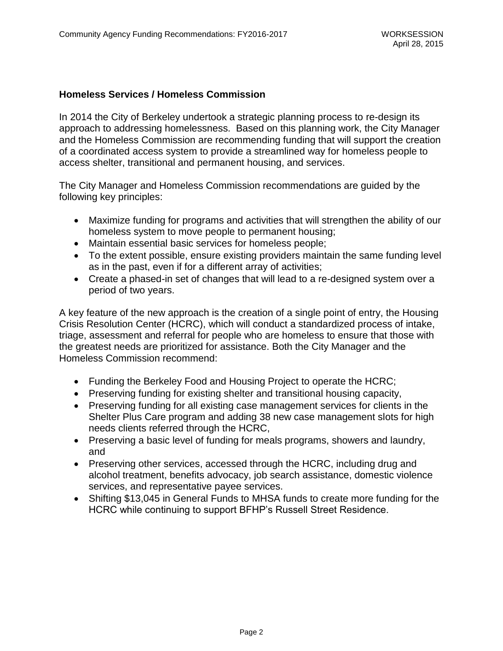### **Homeless Services / Homeless Commission**

In 2014 the City of Berkeley undertook a strategic planning process to re-design its approach to addressing homelessness. Based on this planning work, the City Manager and the Homeless Commission are recommending funding that will support the creation of a coordinated access system to provide a streamlined way for homeless people to access shelter, transitional and permanent housing, and services.

The City Manager and Homeless Commission recommendations are guided by the following key principles:

- Maximize funding for programs and activities that will strengthen the ability of our homeless system to move people to permanent housing;
- Maintain essential basic services for homeless people;
- To the extent possible, ensure existing providers maintain the same funding level as in the past, even if for a different array of activities;
- Create a phased-in set of changes that will lead to a re-designed system over a period of two years.

A key feature of the new approach is the creation of a single point of entry, the Housing Crisis Resolution Center (HCRC), which will conduct a standardized process of intake, triage, assessment and referral for people who are homeless to ensure that those with the greatest needs are prioritized for assistance. Both the City Manager and the Homeless Commission recommend:

- Funding the Berkeley Food and Housing Project to operate the HCRC;
- Preserving funding for existing shelter and transitional housing capacity,
- Preserving funding for all existing case management services for clients in the Shelter Plus Care program and adding 38 new case management slots for high needs clients referred through the HCRC,
- Preserving a basic level of funding for meals programs, showers and laundry, and
- Preserving other services, accessed through the HCRC, including drug and alcohol treatment, benefits advocacy, job search assistance, domestic violence services, and representative payee services.
- Shifting \$13,045 in General Funds to MHSA funds to create more funding for the HCRC while continuing to support BFHP's Russell Street Residence.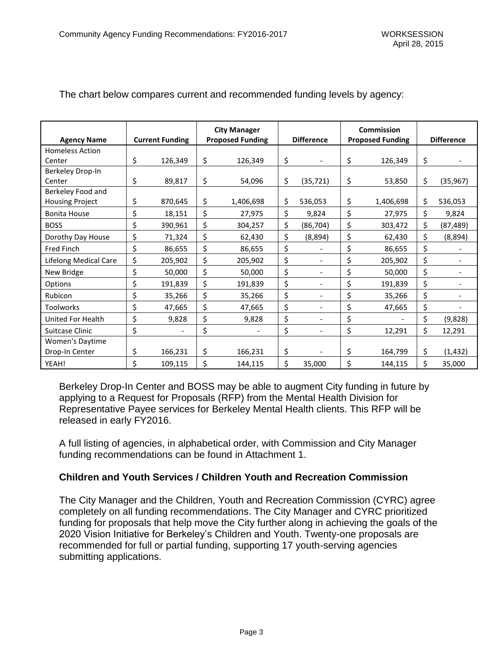| <b>Agency Name</b>     | <b>Current Funding</b>         | <b>City Manager</b><br><b>Proposed Funding</b> | <b>Difference</b>              | <b>Commission</b><br><b>Proposed Funding</b> | <b>Difference</b> |
|------------------------|--------------------------------|------------------------------------------------|--------------------------------|----------------------------------------------|-------------------|
| <b>Homeless Action</b> |                                |                                                |                                |                                              |                   |
| Center                 | \$<br>126,349                  | \$<br>126,349                                  | \$                             | \$<br>126,349                                | \$                |
| Berkeley Drop-In       |                                |                                                |                                |                                              |                   |
| Center                 | \$<br>89,817                   | \$<br>54,096                                   | \$<br>(35, 721)                | \$<br>53,850                                 | \$<br>(35, 967)   |
| Berkeley Food and      |                                |                                                |                                |                                              |                   |
| <b>Housing Project</b> | \$<br>870,645                  | \$<br>1,406,698                                | \$<br>536,053                  | \$<br>1,406,698                              | \$<br>536,053     |
| <b>Bonita House</b>    | \$<br>18,151                   | \$<br>27,975                                   | \$<br>9,824                    | \$<br>27,975                                 | \$<br>9,824       |
| <b>BOSS</b>            | \$<br>390,961                  | \$<br>304,257                                  | \$<br>(86, 704)                | \$<br>303,472                                | \$<br>(87, 489)   |
| Dorothy Day House      | \$<br>71,324                   | \$<br>62,430                                   | \$<br>(8,894)                  | \$<br>62,430                                 | \$<br>(8,894)     |
| <b>Fred Finch</b>      | \$<br>86,655                   | \$<br>86,655                                   | \$                             | \$<br>86,655                                 | \$                |
| Lifelong Medical Care  | \$<br>205,902                  | \$<br>205,902                                  | \$                             | \$<br>205,902                                | \$                |
| New Bridge             | \$<br>50,000                   | \$<br>50,000                                   | \$                             | \$<br>50,000                                 | \$                |
| Options                | \$<br>191,839                  | \$<br>191,839                                  | \$<br>$\overline{\phantom{a}}$ | \$<br>191,839                                | \$                |
| Rubicon                | \$<br>35,266                   | \$<br>35,266                                   | \$                             | \$<br>35,266                                 | \$                |
| <b>Toolworks</b>       | \$<br>47,665                   | \$<br>47,665                                   | \$<br>$\blacksquare$           | \$<br>47,665                                 | \$                |
| United For Health      | \$<br>9,828                    | \$<br>9,828                                    | \$                             | \$                                           | \$<br>(9,828)     |
| Suitcase Clinic        | \$<br>$\overline{\phantom{a}}$ | \$                                             | \$<br>$\overline{\phantom{a}}$ | \$<br>12,291                                 | \$<br>12,291      |
| Women's Daytime        |                                |                                                |                                |                                              |                   |
| Drop-In Center         | \$<br>166,231                  | \$<br>166,231                                  | \$                             | \$<br>164,799                                | \$<br>(1, 432)    |
| YEAH!                  | \$<br>109,115                  | \$<br>144,115                                  | \$<br>35,000                   | \$<br>144,115                                | \$<br>35,000      |

## The chart below compares current and recommended funding levels by agency:

Berkeley Drop-In Center and BOSS may be able to augment City funding in future by applying to a Request for Proposals (RFP) from the Mental Health Division for Representative Payee services for Berkeley Mental Health clients. This RFP will be released in early FY2016.

A full listing of agencies, in alphabetical order, with Commission and City Manager funding recommendations can be found in Attachment 1.

## **Children and Youth Services / Children Youth and Recreation Commission**

The City Manager and the Children, Youth and Recreation Commission (CYRC) agree completely on all funding recommendations. The City Manager and CYRC prioritized funding for proposals that help move the City further along in achieving the goals of the 2020 Vision Initiative for Berkeley's Children and Youth. Twenty-one proposals are recommended for full or partial funding, supporting 17 youth-serving agencies submitting applications.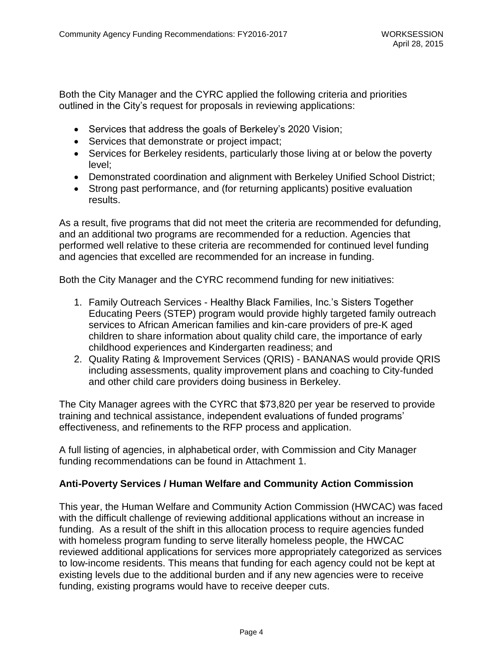Both the City Manager and the CYRC applied the following criteria and priorities outlined in the City's request for proposals in reviewing applications:

- Services that address the goals of Berkeley's 2020 Vision;
- Services that demonstrate or project impact;
- Services for Berkeley residents, particularly those living at or below the poverty level;
- Demonstrated coordination and alignment with Berkeley Unified School District;
- Strong past performance, and (for returning applicants) positive evaluation results.

As a result, five programs that did not meet the criteria are recommended for defunding, and an additional two programs are recommended for a reduction. Agencies that performed well relative to these criteria are recommended for continued level funding and agencies that excelled are recommended for an increase in funding.

Both the City Manager and the CYRC recommend funding for new initiatives:

- 1. Family Outreach Services Healthy Black Families, Inc.'s Sisters Together Educating Peers (STEP) program would provide highly targeted family outreach services to African American families and kin-care providers of pre-K aged children to share information about quality child care, the importance of early childhood experiences and Kindergarten readiness; and
- 2. Quality Rating & Improvement Services (QRIS) BANANAS would provide QRIS including assessments, quality improvement plans and coaching to City-funded and other child care providers doing business in Berkeley.

The City Manager agrees with the CYRC that \$73,820 per year be reserved to provide training and technical assistance, independent evaluations of funded programs' effectiveness, and refinements to the RFP process and application.

A full listing of agencies, in alphabetical order, with Commission and City Manager funding recommendations can be found in Attachment 1.

## **Anti-Poverty Services / Human Welfare and Community Action Commission**

This year, the Human Welfare and Community Action Commission (HWCAC) was faced with the difficult challenge of reviewing additional applications without an increase in funding. As a result of the shift in this allocation process to require agencies funded with homeless program funding to serve literally homeless people, the HWCAC reviewed additional applications for services more appropriately categorized as services to low-income residents. This means that funding for each agency could not be kept at existing levels due to the additional burden and if any new agencies were to receive funding, existing programs would have to receive deeper cuts.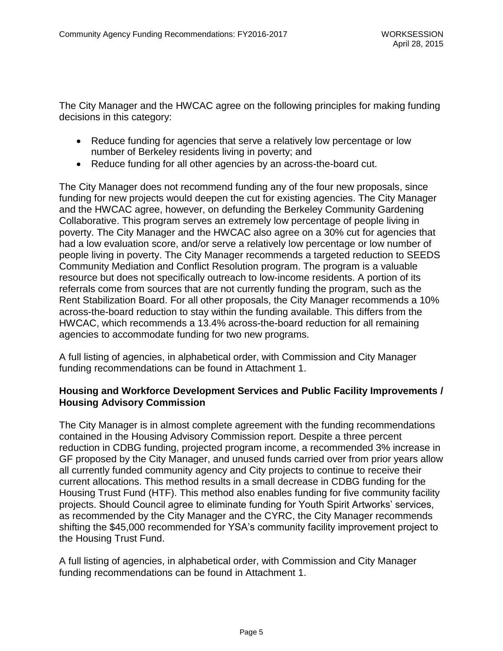The City Manager and the HWCAC agree on the following principles for making funding decisions in this category:

- Reduce funding for agencies that serve a relatively low percentage or low number of Berkeley residents living in poverty; and
- Reduce funding for all other agencies by an across-the-board cut.

The City Manager does not recommend funding any of the four new proposals, since funding for new projects would deepen the cut for existing agencies. The City Manager and the HWCAC agree, however, on defunding the Berkeley Community Gardening Collaborative. This program serves an extremely low percentage of people living in poverty. The City Manager and the HWCAC also agree on a 30% cut for agencies that had a low evaluation score, and/or serve a relatively low percentage or low number of people living in poverty. The City Manager recommends a targeted reduction to SEEDS Community Mediation and Conflict Resolution program. The program is a valuable resource but does not specifically outreach to low-income residents. A portion of its referrals come from sources that are not currently funding the program, such as the Rent Stabilization Board. For all other proposals, the City Manager recommends a 10% across-the-board reduction to stay within the funding available. This differs from the HWCAC, which recommends a 13.4% across-the-board reduction for all remaining agencies to accommodate funding for two new programs.

A full listing of agencies, in alphabetical order, with Commission and City Manager funding recommendations can be found in Attachment 1.

## **Housing and Workforce Development Services and Public Facility Improvements / Housing Advisory Commission**

The City Manager is in almost complete agreement with the funding recommendations contained in the Housing Advisory Commission report. Despite a three percent reduction in CDBG funding, projected program income, a recommended 3% increase in GF proposed by the City Manager, and unused funds carried over from prior years allow all currently funded community agency and City projects to continue to receive their current allocations. This method results in a small decrease in CDBG funding for the Housing Trust Fund (HTF). This method also enables funding for five community facility projects. Should Council agree to eliminate funding for Youth Spirit Artworks' services, as recommended by the City Manager and the CYRC, the City Manager recommends shifting the \$45,000 recommended for YSA's community facility improvement project to the Housing Trust Fund.

A full listing of agencies, in alphabetical order, with Commission and City Manager funding recommendations can be found in Attachment 1.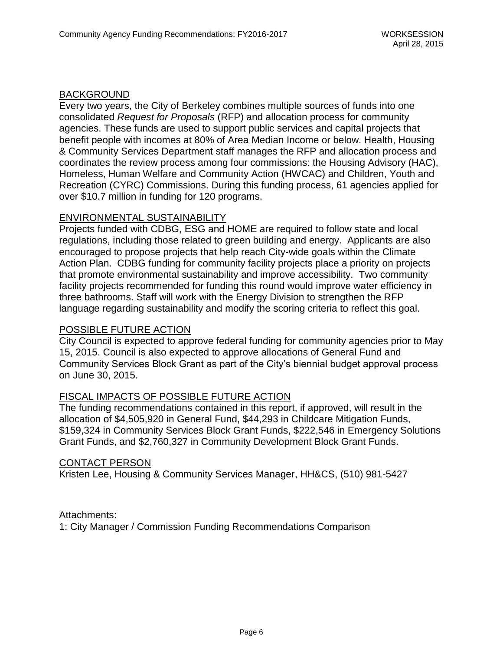#### BACKGROUND

Every two years, the City of Berkeley combines multiple sources of funds into one consolidated *Request for Proposals* (RFP) and allocation process for community agencies. These funds are used to support public services and capital projects that benefit people with incomes at 80% of Area Median Income or below. Health, Housing & Community Services Department staff manages the RFP and allocation process and coordinates the review process among four commissions: the Housing Advisory (HAC), Homeless, Human Welfare and Community Action (HWCAC) and Children, Youth and Recreation (CYRC) Commissions. During this funding process, 61 agencies applied for over \$10.7 million in funding for 120 programs.

### ENVIRONMENTAL SUSTAINABILITY

Projects funded with CDBG, ESG and HOME are required to follow state and local regulations, including those related to green building and energy. Applicants are also encouraged to propose projects that help reach City-wide goals within the Climate Action Plan. CDBG funding for community facility projects place a priority on projects that promote environmental sustainability and improve accessibility. Two community facility projects recommended for funding this round would improve water efficiency in three bathrooms. Staff will work with the Energy Division to strengthen the RFP language regarding sustainability and modify the scoring criteria to reflect this goal.

#### POSSIBLE FUTURE ACTION

City Council is expected to approve federal funding for community agencies prior to May 15, 2015. Council is also expected to approve allocations of General Fund and Community Services Block Grant as part of the City's biennial budget approval process on June 30, 2015.

#### FISCAL IMPACTS OF POSSIBLE FUTURE ACTION

The funding recommendations contained in this report, if approved, will result in the allocation of \$4,505,920 in General Fund, \$44,293 in Childcare Mitigation Funds, \$159,324 in Community Services Block Grant Funds, \$222,546 in Emergency Solutions Grant Funds, and \$2,760,327 in Community Development Block Grant Funds.

#### CONTACT PERSON

Kristen Lee, Housing & Community Services Manager, HH&CS, (510) 981-5427

Attachments:

1: City Manager / Commission Funding Recommendations Comparison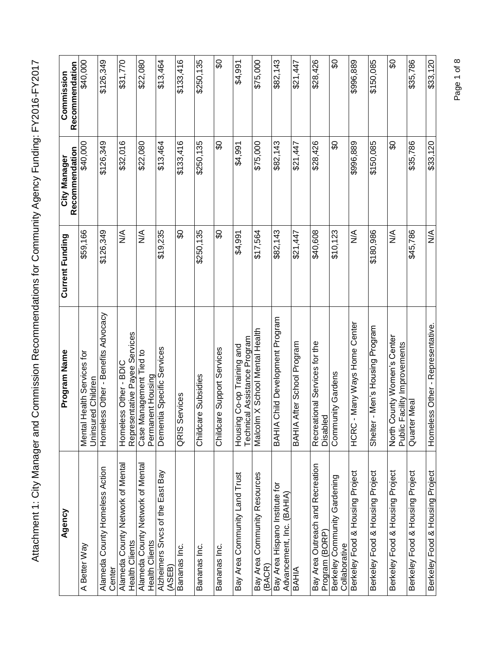| Agency                                                      | Program Name                                                                   | <b>Current Funding</b>       | Recommendation<br>City Manager | Recommendation<br>Commission |
|-------------------------------------------------------------|--------------------------------------------------------------------------------|------------------------------|--------------------------------|------------------------------|
| A Better Way                                                | Mental Health Services for<br>Uninsured Children                               | \$59,166                     | \$40,000                       | \$40,000                     |
| Alameda County Homeless Action<br>Center                    | Homeless Other - Benefits Advocacy                                             | \$126,349                    | \$126,349                      | \$126,349                    |
| Alameda County Network of Mental<br>Health Clients          | Representative Payee Services<br>Homeless Other - BDIC                         | $\stackrel{\triangle}{\geq}$ | \$32,016                       | \$31,770                     |
| Alameda County Network of Mental<br><b>Health Clients</b>   | Management Tied to<br>Permanent Housing<br>Case I                              | $\frac{1}{2}$                | \$22,080                       | \$22,080                     |
| Alzheimers Srvcs of the East Bay<br>(ASEB)                  | Dementia Specific Services                                                     | \$19,235                     | \$13,464                       | \$13,464                     |
| Bananas Inc.                                                | Services<br>QRIS                                                               | တွ                           | \$133,416                      | \$133,416                    |
| Bananas Inc.                                                | Childcare Subsidies                                                            | \$250,135                    | \$250,135                      | \$250,135                    |
| Bananas Inc.                                                | Childcare Support Services                                                     | တွ                           | တွ                             | SO                           |
| Bay Area Community Land Trust                               | Technical Assistance Program<br>Housing Co-o'O grisport                        | \$4,991                      | \$4,991                        | \$4,991                      |
| Bay Area Community Resources<br>(BACR)                      | Im X School Mental Health<br>Malcol                                            | \$17,564                     | \$75,000                       | \$75,000                     |
| Bay Area Hispano Institute for<br>Advancement, Inc. (BAHIA) | <b>BAHIA Child Development Program</b>                                         | \$82,143                     | \$82,143                       | \$82,143                     |
| BAHIA                                                       | BAHIA After School Program                                                     | \$21,447                     | \$21,447                       | \$21,447                     |
| Bay Area Outreach and Recreation<br>Program (BORP)          | Recreational Services for the<br>Disabled                                      | \$40,608                     | \$28,426                       | \$28,426                     |
| Berkeley Community Gardening<br>Collaborative               | Community Gardens                                                              | \$10,123                     | œ                              | SO                           |
| Berkeley Food & Housing Project                             | Many Ways Home Center<br>HCRC                                                  | $\frac{4}{2}$                | \$996,889                      | \$996,889                    |
| Berkeley Food & Housing Project                             | Shelter - Men's Housing Program                                                | \$180,986                    | \$150,085                      | \$150,085                    |
| Berkeley Food & Housing Project                             | County Women's Center<br>Facility Improvements<br>Public<br>North <sup>(</sup> | $\frac{1}{2}$                | င္တ                            | င္တ                          |
| Berkeley Food & Housing Project                             | Quarter Meal                                                                   | \$45,786                     | \$35,786                       | \$35,786                     |
| Berkeley Food & Housing Project                             | Homeless Other - Representative                                                | $\frac{1}{2}$                | \$33,120                       | \$33,120                     |

Page 1 of 8 Page 1 of 8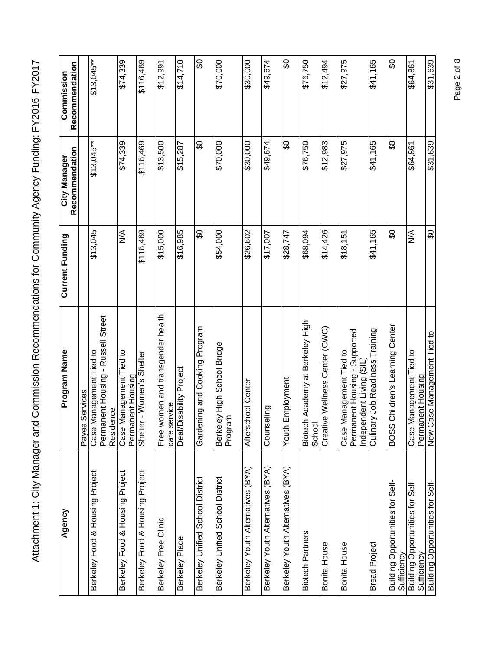| Agency                                          | Program Name                                                                         | Current Funding | Recommendation<br>City Manager | Recommendation<br>Commission |
|-------------------------------------------------|--------------------------------------------------------------------------------------|-----------------|--------------------------------|------------------------------|
|                                                 | Services<br>Payee                                                                    |                 |                                |                              |
| Berkeley Food & Housing Project                 | Permanent Housing - Russell Street<br>Management Tied to<br>Residence<br>Case I      | \$13,045        | $$13,045***$                   | $$13,045**$                  |
| Berkeley Food & Housing Project                 | Management Tied to<br>Permanent Housing<br>Case <sup>I</sup>                         | $\frac{1}{2}$   | \$74,339                       | \$74,339                     |
| Berkeley Food & Housing Project                 | Shelter - Women's Shelter                                                            | \$116,469       | \$116,469                      | \$116,469                    |
| Berkeley Free Clinic                            | Free women and transgender health<br>care service                                    | \$15,000        | \$13,500                       | \$12,991                     |
| Berkeley Place                                  | Deat/Disability Project                                                              | \$16,985        | \$15,287                       | \$14,710                     |
| Berkeley Unified School District                | Gardening and Cooking Program                                                        | င္တ             | SO                             | œ                            |
| Berkeley Unified School District                | Berkeley High School Bridge<br>Program                                               | \$54,000        | \$70,000                       | \$70,000                     |
| Berkeley Youth Alternatives (BYA)               | Afterschool Center                                                                   | \$26,602        | \$30,000                       | \$30,000                     |
| Berkeley Youth Alternatives (BYA)               | eling<br>Couns                                                                       | \$17,007        | \$49,674                       | \$49,674                     |
| Berkeley Youth Alternatives (BYA)               | Employment<br>Youth                                                                  | \$28,747        | တွ                             | SO                           |
| <b>Biotech Partners</b>                         | Biotech Academy at Berkeley High<br>School                                           | \$68,094        | \$76,750                       | \$76,750                     |
| Bonita House                                    | Creative Wellness Center (CWC)                                                       | \$14,426        | \$12,983                       | \$12,494                     |
| Bonita House                                    | Case Management Tied to<br>Permanent Housing - Supported<br>Independent Living (SIL) | \$18,151        | \$27,975                       | \$27,975                     |
| <b>Bread Project</b>                            | Culinary Job Readiness Training                                                      | \$41,165        | \$41,165                       | \$41,165                     |
| Building Opportunities for Self-<br>Sufficiency | Children's Learning Center<br><b>BOSS</b>                                            | င္တ             | င္တ                            | င္တ                          |
| Building Opportunities for Self-<br>Sufficiency | Management Tied to<br>Case Management<br>Permanent Housing                           | ⋚               | \$64,861                       | \$64,861                     |
| Building Opportunities for Self-                | New Case Management Tied to                                                          | င္တ             | \$31,639                       | \$31,639                     |

Page 2 of 8 Page 2 of 8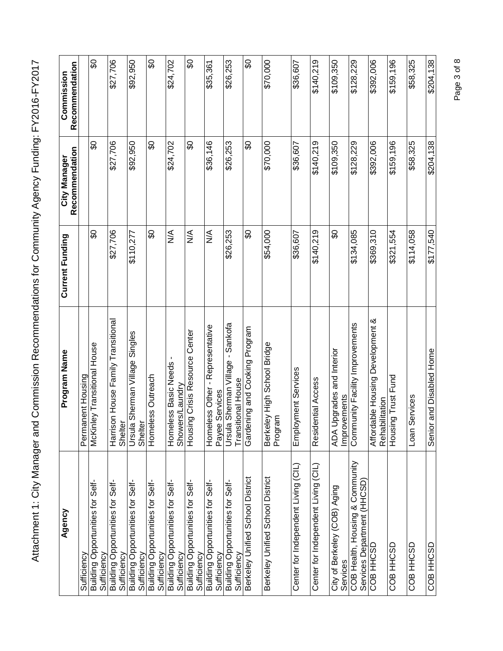| Agency                                                 | Program Name                                                   | Current Funding | Recommendation<br>City Manager | Recommendation<br>Commission |
|--------------------------------------------------------|----------------------------------------------------------------|-----------------|--------------------------------|------------------------------|
| Sufficiency                                            | Permanent Housing                                              |                 |                                |                              |
| Building Opportunities for Self-<br>Sufficiency        | ey Transitional House<br>McKinl                                | င္တ             | န္တ                            | တ္တ                          |
| Building Opportunities for Self-<br><b>Sufficiency</b> | Harrison House Family Transitional<br>Shelter                  | \$27,706        | \$27,706                       | \$27,706                     |
| Building Opportunities for Self-<br>Sufficiency        | Sherman Village Singles<br>Ursula<br>Shelter                   | \$110,277       | \$92,950                       | \$92,950                     |
| Building Opportunities for Self-<br>Sufficiency        | Homeless Outreach                                              | င္တ             | င္တ                            | င္တ                          |
| Building Opportunities for Self-<br>Sufficiency        | Homeless Basic Needs<br>Showers/Laundry                        | $\frac{1}{2}$   | \$24,702                       | \$24,702                     |
| Building Opportunities for Self-<br>Sufficiency        | g Crisis Resource Center<br>Housin                             | $\frac{1}{2}$   | င္တ                            | င္တ                          |
| Building Opportunities for Self-<br>Sufficiency        | Homeless Other - Representative<br>Services<br>Payee           | $\frac{1}{2}$   | \$36,146                       | \$35,361                     |
| Building Opportunities for Self-<br>Sufficiency        | Sherman Village - Sankofa<br>tional House<br>Ursula<br>Transit | \$26,253        | \$26,253                       | \$26,253                     |
| Berkeley Unified School District                       | Gardening and Cooking Program                                  | န္တ             | င္တ                            | င္တ                          |
| Berkeley Unified School District                       | ey High School Bridge<br>Berkeley<br>Program                   | \$54,000        | \$70,000                       | \$70,000                     |
| Center for Independent Living (CIL)                    | Employment Services                                            | \$36,607        | \$36,607                       | \$36,607                     |
| Center for Independent Living (CIL)                    | Residential Access                                             | \$140,219       | \$140,219                      | \$140,219                    |
| City of Berkeley (COB) Aging<br>Services               | pgrades and Interior<br>Improvements<br>ADA U                  | န္တ             | \$109,350                      | \$109,350                    |
| COB Health, Housing & Community                        | unity Facility Improvements<br>Comm                            | \$134,085       | \$128,229                      | \$128,229                    |
| Services Department (HHCSD)<br>COB HHCSD               | Affordable Housing Development &<br>Rehabilitation             | \$369,310       | \$392,006                      | \$392,006                    |
| COB HHCSD                                              | Housing Trust Fund                                             | \$321,554       | \$159,196                      | \$159,196                    |
| <b>GSOHH BOO</b>                                       | Loan Services                                                  | \$114,058       | \$58,325                       | \$58,325                     |
| COB HHCSD                                              | and Disabled Home<br>Senior                                    | \$177,540       | \$204,138                      | \$204,138                    |

Page 3 of 8 Page 3 of 8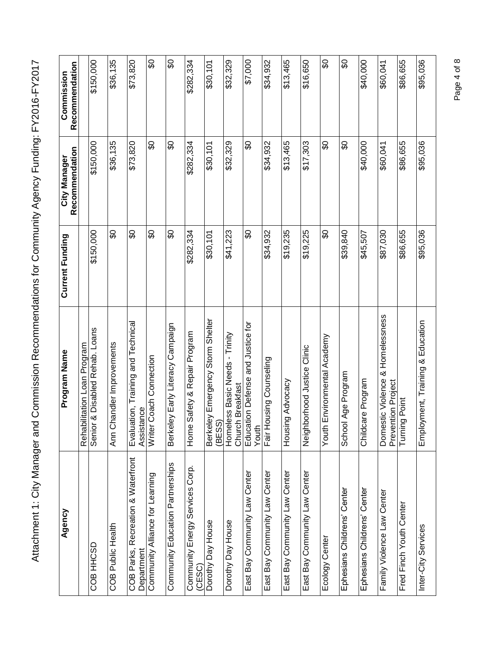| Agency                                              | Program Name                                           | Current Funding | Recommendation<br>City Manager | Recommendation<br>Commission |
|-----------------------------------------------------|--------------------------------------------------------|-----------------|--------------------------------|------------------------------|
|                                                     | ilitation Loan Program<br>Rehab                        |                 |                                |                              |
| COB HHCSD                                           | & Disabled Rehab. Loans<br>Senior                      | \$150,000       | \$150,000                      | \$150,000                    |
| COB Public Health                                   | handler Improvements<br>Ann Ch                         | င္တ             | \$36,135                       | \$36,135                     |
| Recreation & Waterfront<br>COB Parks,<br>Department | Evaluation, Training and Technical<br>Assistance       | င္တ             | \$73,820                       | \$73,820                     |
| Community Alliance for Learning                     | Coach Connection<br>Writer                             | န္တ             | န္တ                            | န္တ                          |
| Community Education Partnerships                    | ey Early Literacy Campaign<br><b>Berkel</b>            | င္တ             | င္တ                            | င္တ                          |
| Community Energy Services Corp.<br>(CESC)           | Safety & Repair Program<br>Home                        | \$282,334       | \$282,334                      | \$282,334                    |
| Dorothy Day House                                   | Berkeley Emergency Storm Shelter<br>(BESS)             | \$30,101        | \$30,101                       | \$30,101                     |
| Dorothy Day House                                   | Homeless Basic Needs - Trinity<br>Church Breakfast     | \$41,223        | \$32,329                       | \$32,329                     |
| East Bay Community Law Center                       | Education Defense and Justice for<br>Youth             | င္တ             | င္တ                            | \$7,000                      |
| East Bay Community Law Center                       | Fair Housing Counseling                                | \$34,932        | \$34,932                       | \$34,932                     |
| East Bay Community Law Center                       | g Advocacy<br>Housin                                   | \$19,235        | \$13,465                       | \$13,465                     |
| East Bay Community Law Center                       | Neighborhood Justice Clinic                            | \$19,225        | \$17,303                       | \$16,650                     |
| Ecology Center                                      | Environmental Academy<br>Youth                         | င္တ             | င္တ                            | င္တ                          |
| Ephesians Childrens' Center                         | Age Program<br>School                                  | \$39,840        | င္တ                            | န္တ                          |
| Ephesians Childrens' Center                         | Childcare Program                                      | \$45,507        | \$40,000                       | \$40,000                     |
| Family Violence Law Center                          | Domestic Violence & Homelessness<br>Prevention Project | \$87,030        | \$60,041                       | \$60,041                     |
| Fred Finch Youth Center                             | Turning Point                                          | \$86,655        | \$86,655                       | \$86,655                     |
| Inter-City Services                                 | Employment, Training & Education                       | \$95,036        | \$95,036                       | \$95,036                     |

Page 4 of 8 Page 4 of 8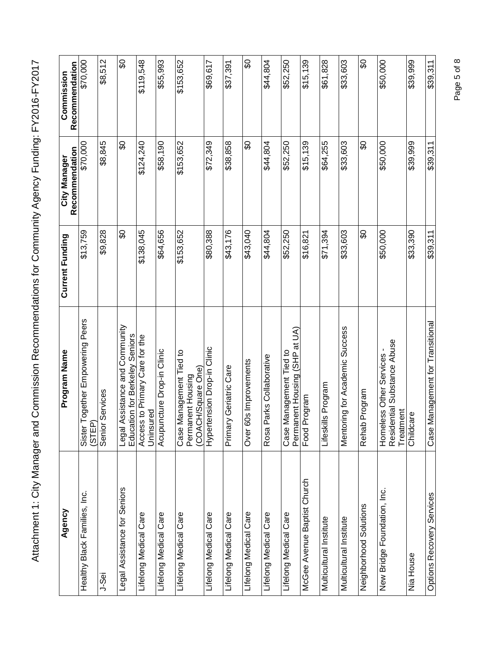| Agency                       | Program Name                                                              | <b>Current Funding</b> | Recommendation<br>City Manager | Recommendation<br>Commission |
|------------------------------|---------------------------------------------------------------------------|------------------------|--------------------------------|------------------------------|
| Healthy Black Families, Inc. | Together Empowering Peers<br>(STEP)<br>Sister                             | \$13,759               | \$70,000                       | \$70,000                     |
| J-Sei                        | Services<br>Senior                                                        | \$9,828                | \$8,845                        | \$8,512                      |
| Legal Assistance for Seniors | Legal Assistance and Community<br>Education for Berkeley Seniors          | င္တ                    | င္တ                            | င္တ                          |
| Lifelong Medical Care        | Access to Primary Care for the<br>Uninsured                               | \$138,045              | \$124,240                      | \$119,548                    |
| Lifelong Medical Care        | Acupuncture Drop-in Clinic                                                | \$64,656               | \$58,190                       | \$55,993                     |
| Lifelong Medical Care        | Vlanagement Tied to<br>(COACH/Square One)<br>Permanent Housing<br>Case N  | \$153,652              | \$153,652                      | \$153,652                    |
| Lifelong Medical Care        | Hypertension Drop-in Clinic                                               | \$80,388               | \$72,349                       | \$69,617                     |
| Lifelong Medical Care        | y Geriatric Care<br>Primar                                                | \$43,176               | \$38,858                       | \$37,391                     |
| Lifelong Medical Care        | Over 60s Improvements                                                     | \$43,040               | င္တ                            | င္တ                          |
| Lifelong Medical Care        | Parks Collaborative<br>Rosa                                               | \$44,804               | \$44,804                       | \$44,804                     |
| Lifelong Medical Care        | Permanent Housing (SHP at UA)<br>Vlanagement Tied to<br>Case <sup>I</sup> | \$52,250               | \$52,250                       | \$52,250                     |
| McGee Avenue Baptist Church  | Food Program                                                              | \$16,821               | \$15,139                       | \$15,139                     |
| Multicultural Institute      | Lifeskills Program                                                        | \$71,394               | \$64,255                       | \$61,828                     |
| Multicultural Institute      | ring for Academic Success<br>Mentor                                       | \$33,603               | \$33,603                       | \$33,603                     |
| Neighborhood Solutions       | Program<br>Rehab                                                          | န္တ                    | န္တ                            | င္တ                          |
| New Bridge Foundation, Inc.  | Residential Substance Abuse<br>Homeless Other Services -<br>Treatment     | \$50,000               | \$50,000                       | \$50,000                     |
| Nia House                    | Childcare                                                                 | \$33,390               | \$39,999                       | \$39,999                     |
| Options Recovery Services    | Vlanagement for Transitional<br>Case                                      | \$39,311               | \$39,311                       | \$39,311                     |

Page 5 of 8 Page 5 of 8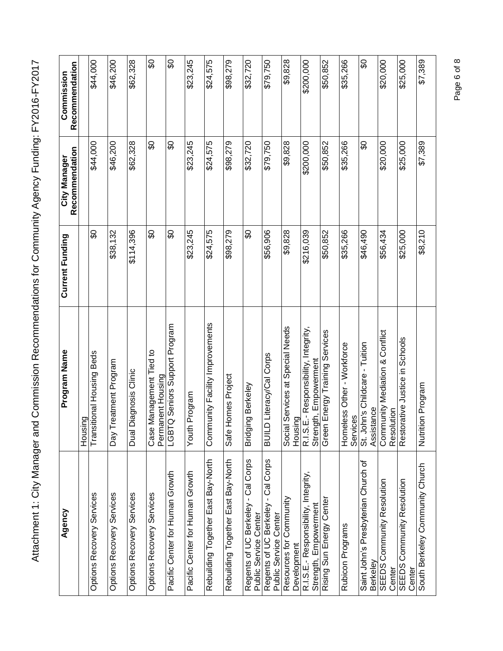| Agency                                                         | Program Name                                                 | Current Funding | Recommendation<br>City Manager | Recommendation<br>Commission |
|----------------------------------------------------------------|--------------------------------------------------------------|-----------------|--------------------------------|------------------------------|
|                                                                | င္ငွာ<br>Housir                                              |                 |                                |                              |
| Options Recovery Services                                      | tional Housing Beds<br>Transit                               | SO              | \$44,000                       | \$44,000                     |
| Options Recovery Services                                      | eatment Program<br>Day $\overline{T}$ r                      | \$38,132        | \$46,200                       | \$46,200                     |
| Options Recovery Services                                      | Dual Diagnosis Clinic                                        | \$114,396       | \$62,328                       | \$62,328                     |
| <b>Options Recovery Services</b>                               | Management Tied to<br>Permanent Housing<br>Case I            | SO              | SO                             | SO                           |
| Pacific Center for Human Growth                                | LGBTQ Seniors Support Program                                | င္တ             | င္တ                            | တွ                           |
| Pacific Center for Human Growth                                | Program<br>Youth                                             | \$23,245        | \$23,245                       | \$23,245                     |
| Rebuilding Together East Bay-North                             | unity Facility Improvements<br>Comm                          | \$24,575        | \$24,575                       | \$24,575                     |
| Rebuilding Together East Bay-North                             | Safe Homes Project                                           | \$98,279        | \$98,279                       | \$98,279                     |
| - Cal Corps<br>Regents of UC Berkeley<br>Public Service Center | ig Berkeley<br>Bridgin                                       | င္တ             | \$32,720                       | \$32,720                     |
| Regents of UC Berkeley - Cal Corps<br>Public Service Center    | Literacy/Cal Corps<br><b>GTINB</b>                           | \$56,906        | \$79,750                       | \$79,750                     |
| Resources for Community<br>Development                         | Services at Special Needs<br>Housing<br>Social               | \$9,828         | \$9,828                        | \$9,828                      |
| R.I.S.E.- Responsibility, Integrity,<br>Strength, Empowerment  | R.I.S.E.-Responsibility, Integrity,<br>Strength, Empowerment | \$216,039       | \$200,000                      | \$200,000                    |
| Rising Sun Energy Center                                       | Energy Training Services<br>Green                            | \$50,852        | \$50,852                       | \$50,852                     |
| Rubicon Programs                                               | ess Other - Workforce<br>Services<br>Homel                   | \$35,266        | \$35,266                       | \$35,266                     |
| Saint John's Presbyterian Church of<br>Berkeley                | St. John's Childcare - Tuition<br>Assistance                 | \$46,490        | တ္တ                            | ဝွ                           |
| SEEDS Community Resolution<br>Center                           | Community Mediation & Conflict<br>Resolution                 | \$56,434        | \$20,000                       | \$20,000                     |
| Community Resolution<br>SEEDS<br>Center                        | ative Justice in Schools<br>Restora                          | \$25,000        | \$25,000                       | \$25,000                     |
| South Berkeley Community Church                                | Nutrition<br>Program                                         | \$8,210         | \$7,389                        | \$7,389                      |

Page 6 of 8 Page 6 of 8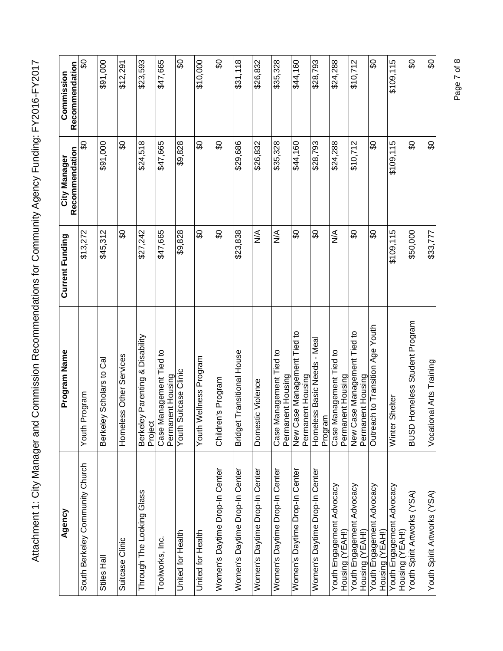| Agency                                              | Program Name                                               | Current Funding | Recommendation<br>City Manager | Recommendation<br>Commission |
|-----------------------------------------------------|------------------------------------------------------------|-----------------|--------------------------------|------------------------------|
| South Berkeley Community Church                     | Program<br>Youth                                           | \$13,272        | တ္တ                            | င္တ                          |
| Stiles Hall                                         | ey Scholars to Cal<br><b>Berkel</b>                        | \$45,312        | \$91,000                       | \$91,000                     |
| Suitcase Clinic                                     | ess Other Services<br>Homel                                | င္တ             | အိ                             | \$12,291                     |
| Through The Looking Glass                           | ey Parenting & Disability<br>Project<br><b>Berkel</b>      | \$27,242        | \$24,518                       | \$23,593                     |
| Toolworks, Inc.                                     | Management Tied to<br>Permanent Housing<br>Case I          | \$47,665        | \$47,665                       | \$47,665                     |
| United for Health                                   | Suitcase Clinic<br>Youth                                   | \$9,828         | \$9,828                        | ဝ္တ                          |
| United for Health                                   | Wellness Program<br>Youth                                  | œ               | œ                              | \$10,000                     |
| Women's Daytime Drop-In Center                      | Children's Program                                         | \$O             | န္တ                            | င္တ                          |
| Women's Daytime Drop-In Center                      | Bridget Transitional House                                 | \$23,838        | \$29,686                       | \$31,118                     |
| Women's Daytime Drop-In Center                      | Domestic Violence                                          | ⋚               | \$26,832                       | \$26,832                     |
| Women's Daytime Drop-In Center                      | Management Tied to<br>Permanent Housing<br>Case            | $\frac{4}{2}$   | \$35,328                       | \$35,328                     |
| Women's Daytime Drop-In Center                      | New Case Management Tied to<br>Permanent Housing           | \$              | \$44,160                       | \$44,160                     |
| Women's Daytime Drop-In Center                      | ess Basic Needs - Meal<br>Program<br>Homel                 | œ               | \$28,793                       | \$28,793                     |
| Youth Engagement Advocacy<br>Housing (YEAH!)        | Management Tied to<br>Case Managemenı<br>Permanent Housing | ⋚               | \$24,288                       | \$24,288                     |
| Youth Engagement Advocacy<br><u>Housing (YEAH!)</u> | New Case Management Tied to<br>Permanent Housing           | န္တ             | \$10,712                       | \$10,712                     |
| Youth Engagement Advocacy<br>Housing (YEAH!)        | Outreach to Transition Age Youth                           | \$O             | င္တ                            | œ                            |
| Youth Engagement Advocacy<br>Housing (YEAH!)        | Shelter<br>Winter                                          | \$109,115       | \$109,115                      | \$109,115                    |
| Youth Spirit Artworks (YSA)                         | Homeless Student Program<br>asna                           | \$50,000        | တွ                             | တွ                           |
| Youth Spirit Artworks (YSA)                         | onal Arts Training<br>Vocati                               | \$33,777        | œ                              | œ                            |

Page 7 of 8 Page 7 of 8